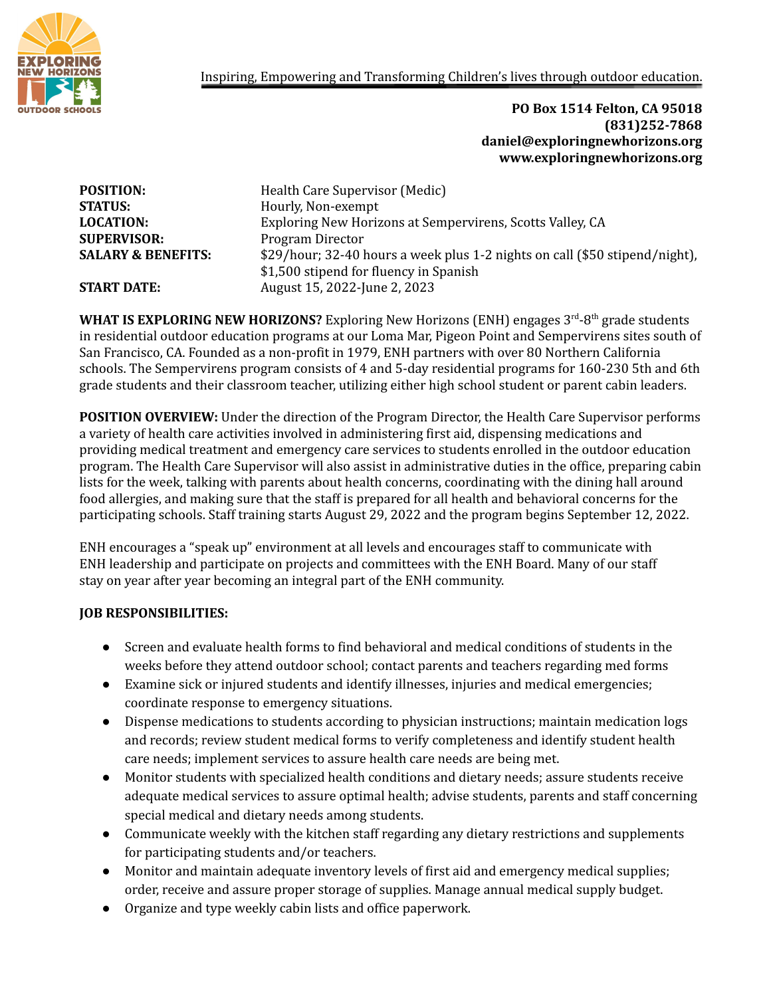

## Inspiring, Empowering and Transforming Children's lives through outdoor education.

## **PO Box 1514 Felton, CA 95018 (831)252-7868 daniel@exploringnewhorizons.org www.exploringnewhorizons.org**

| <b>POSITION:</b>              | Health Care Supervisor (Medic)                                              |
|-------------------------------|-----------------------------------------------------------------------------|
| <b>STATUS:</b>                | Hourly, Non-exempt                                                          |
| <b>LOCATION:</b>              | Exploring New Horizons at Sempervirens, Scotts Valley, CA                   |
| <b>SUPERVISOR:</b>            | Program Director                                                            |
| <b>SALARY &amp; BENEFITS:</b> | \$29/hour; 32-40 hours a week plus 1-2 nights on call (\$50 stipend/night), |
|                               | \$1,500 stipend for fluency in Spanish                                      |
| <b>START DATE:</b>            | August 15, 2022-June 2, 2023                                                |

WHAT IS EXPLORING NEW HORIZONS? Exploring New Horizons (ENH) engages 3<sup>rd</sup>-8<sup>th</sup> grade students in residential outdoor education programs at our Loma Mar, Pigeon Point and Sempervirens sites south of San Francisco, CA. Founded as a non-profit in 1979, ENH partners with over 80 Northern California schools. The Sempervirens program consists of 4 and 5-day residential programs for 160-230 5th and 6th grade students and their classroom teacher, utilizing either high school student or parent cabin leaders.

**POSITION OVERVIEW:** Under the direction of the Program Director, the Health Care Supervisor performs a variety of health care activities involved in administering first aid, dispensing medications and providing medical treatment and emergency care services to students enrolled in the outdoor education program. The Health Care Supervisor will also assist in administrative duties in the office, preparing cabin lists for the week, talking with parents about health concerns, coordinating with the dining hall around food allergies, and making sure that the staff is prepared for all health and behavioral concerns for the participating schools. Staff training starts August 29, 2022 and the program begins September 12, 2022.

ENH encourages a "speak up" environment at all levels and encourages staff to communicate with ENH leadership and participate on projects and committees with the ENH Board. Many of our staff stay on year after year becoming an integral part of the ENH community.

## **JOB RESPONSIBILITIES:**

- Screen and evaluate health forms to find behavioral and medical conditions of students in the weeks before they attend outdoor school; contact parents and teachers regarding med forms
- Examine sick or injured students and identify illnesses, injuries and medical emergencies; coordinate response to emergency situations.
- Dispense medications to students according to physician instructions; maintain medication logs and records; review student medical forms to verify completeness and identify student health care needs; implement services to assure health care needs are being met.
- Monitor students with specialized health conditions and dietary needs; assure students receive adequate medical services to assure optimal health; advise students, parents and staff concerning special medical and dietary needs among students.
- Communicate weekly with the kitchen staff regarding any dietary restrictions and supplements for participating students and/or teachers.
- Monitor and maintain adequate inventory levels of first aid and emergency medical supplies; order, receive and assure proper storage of supplies. Manage annual medical supply budget.
- Organize and type weekly cabin lists and office paperwork.